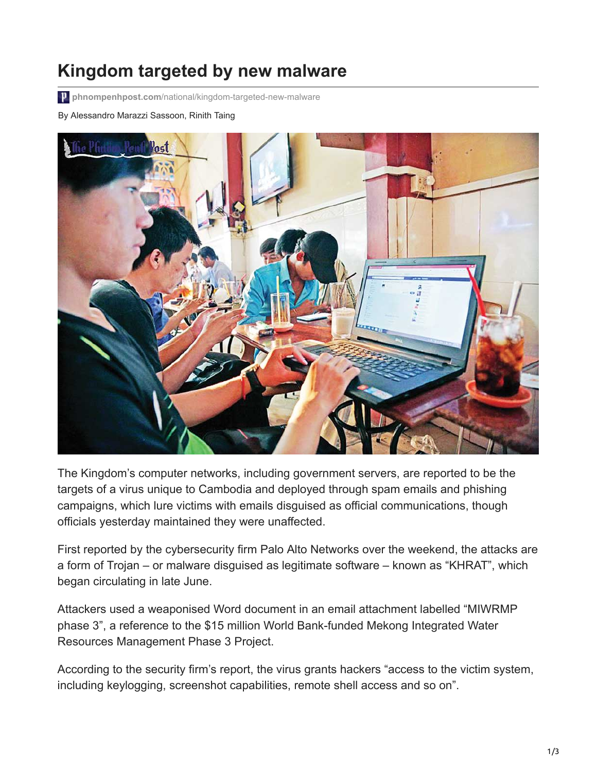## **Kingdom targeted by new malware**

**phnompenhpost.com**[/national/kingdom-targeted-new-malware](https://www.phnompenhpost.com/national/kingdom-targeted-new-malware)

By Alessandro Marazzi Sassoon, Rinith Taing



The Kingdom's computer networks, including government servers, are reported to be the targets of a virus unique to Cambodia and deployed through spam emails and phishing campaigns, which lure victims with emails disguised as official communications, though officials yesterday maintained they were unaffected.

First reported by the cybersecurity firm Palo Alto Networks over the weekend, the attacks are a form of Trojan – or malware disguised as legitimate software – known as "KHRAT", which began circulating in late June.

Attackers used a weaponised Word document in an email attachment labelled "MIWRMP phase 3", a reference to the \$15 million World Bank-funded Mekong Integrated Water Resources Management Phase 3 Project.

According to the security firm's report, the virus grants hackers "access to the victim system, including keylogging, screenshot capabilities, remote shell access and so on".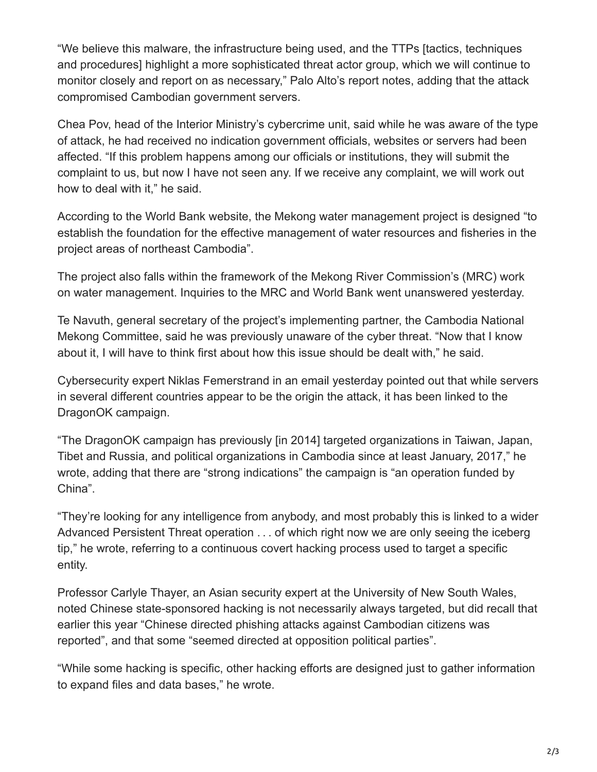"We believe this malware, the infrastructure being used, and the TTPs [tactics, techniques and procedures] highlight a more sophisticated threat actor group, which we will continue to monitor closely and report on as necessary," Palo Alto's report notes, adding that the attack compromised Cambodian government servers.

Chea Pov, head of the Interior Ministry's cybercrime unit, said while he was aware of the type of attack, he had received no indication government officials, websites or servers had been affected. "If this problem happens among our officials or institutions, they will submit the complaint to us, but now I have not seen any. If we receive any complaint, we will work out how to deal with it," he said.

According to the World Bank website, the Mekong water management project is designed "to establish the foundation for the effective management of water resources and fisheries in the project areas of northeast Cambodia".

The project also falls within the framework of the Mekong River Commission's (MRC) work on water management. Inquiries to the MRC and World Bank went unanswered yesterday.

Te Navuth, general secretary of the project's implementing partner, the Cambodia National Mekong Committee, said he was previously unaware of the cyber threat. "Now that I know about it, I will have to think first about how this issue should be dealt with," he said.

Cybersecurity expert Niklas Femerstrand in an email yesterday pointed out that while servers in several different countries appear to be the origin the attack, it has been linked to the DragonOK campaign.

"The DragonOK campaign has previously [in 2014] targeted organizations in Taiwan, Japan, Tibet and Russia, and political organizations in Cambodia since at least January, 2017," he wrote, adding that there are "strong indications" the campaign is "an operation funded by China".

"They're looking for any intelligence from anybody, and most probably this is linked to a wider Advanced Persistent Threat operation . . . of which right now we are only seeing the iceberg tip," he wrote, referring to a continuous covert hacking process used to target a specific entity.

Professor Carlyle Thayer, an Asian security expert at the University of New South Wales, noted Chinese state-sponsored hacking is not necessarily always targeted, but did recall that earlier this year "Chinese directed phishing attacks against Cambodian citizens was reported", and that some "seemed directed at opposition political parties".

"While some hacking is specific, other hacking efforts are designed just to gather information to expand files and data bases," he wrote.